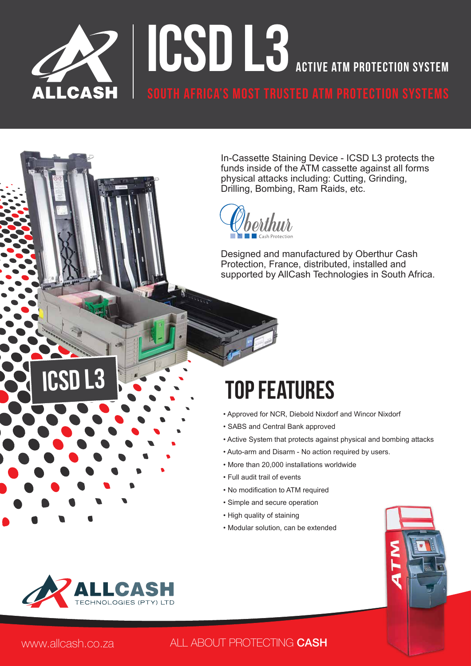

In-Cassette Staining Device - ICSD L3 protects the funds inside of the ATM cassette against all forms physical attacks including: Cutting, Grinding, Drilling, Bombing, Ram Raids, etc.

Designed and manufactured by Oberthur Cash Protection, France, distributed, installed and supported by AllCash Technologies in South Africa.

# Top Features

- Approved for NCR, Diebold Nixdorf and Wincor Nixdorf
- SABS and Central Bank approved
- Active System that protects against physical and bombing attacks
- Auto-arm and Disarm No action required by users.
- More than 20,000 installations worldwide
- Full audit trail of events
- No modification to ATM required
- Simple and secure operation
- High quality of staining
- Modular solution, can be extended





ICSD l3

#### www.allcash.co.za ALL ABOUT PROTECTING CASH